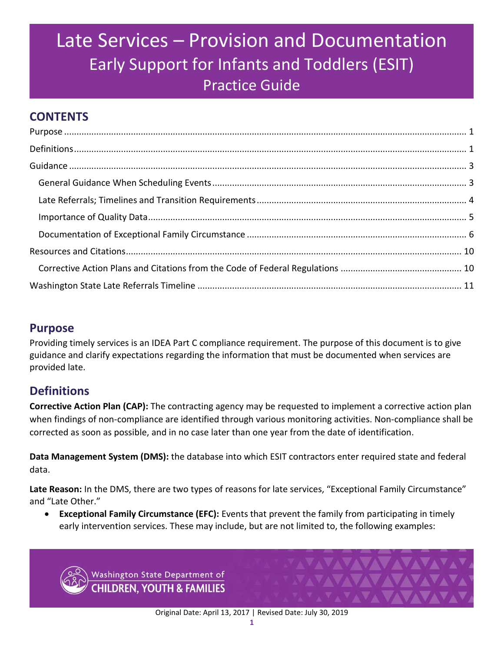# Late Services – Provision and Documentation Early Support for Infants and Toddlers (ESIT) Practice Guide

## **CONTENTS**

### <span id="page-0-0"></span>**Purpose**

Providing timely services is an IDEA Part C compliance requirement. The purpose of this document is to give guidance and clarify expectations regarding the information that must be documented when services are provided late.

## <span id="page-0-1"></span>**Definitions**

**Corrective Action Plan (CAP):** The contracting agency may be requested to implement a corrective action plan when findings of non-compliance are identified through various monitoring activities. Non-compliance shall be corrected as soon as possible, and in no case later than one year from the date of identification.

**Data Management System (DMS):** the database into which ESIT contractors enter required state and federal data.

Late Reason: In the DMS, there are two types of reasons for late services, "Exceptional Family Circumstance" and "Late Other."

• **Exceptional Family Circumstance (EFC):** Events that prevent the family from participating in timely early intervention services. These may include, but are not limited to, the following examples:

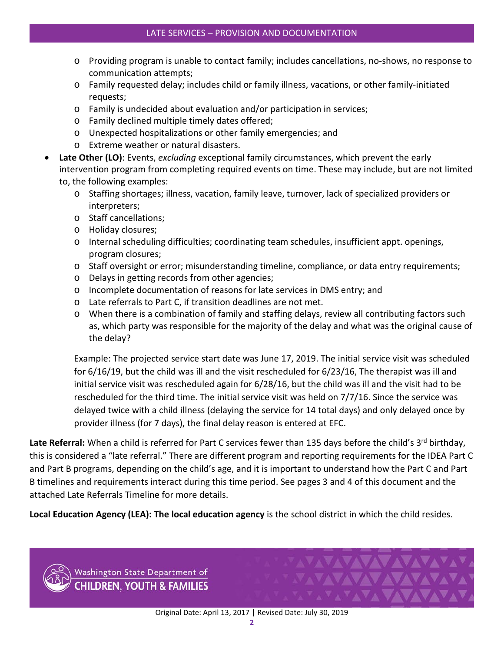- o Providing program is unable to contact family; includes cancellations, no-shows, no response to communication attempts;
- o Family requested delay; includes child or family illness, vacations, or other family-initiated requests;
- o Family is undecided about evaluation and/or participation in services;
- o Family declined multiple timely dates offered;
- o Unexpected hospitalizations or other family emergencies; and
- o Extreme weather or natural disasters.
- **Late Other (LO)**: Events, *excluding* exceptional family circumstances, which prevent the early intervention program from completing required events on time. These may include, but are not limited to, the following examples:
	- o Staffing shortages; illness, vacation, family leave, turnover, lack of specialized providers or interpreters;
	- o Staff cancellations;
	- o Holiday closures;
	- o Internal scheduling difficulties; coordinating team schedules, insufficient appt. openings, program closures;
	- o Staff oversight or error; misunderstanding timeline, compliance, or data entry requirements;
	- o Delays in getting records from other agencies;
	- o Incomplete documentation of reasons for late services in DMS entry; and
	- o Late referrals to Part C, if transition deadlines are not met.
	- o When there is a combination of family and staffing delays, review all contributing factors such as, which party was responsible for the majority of the delay and what was the original cause of the delay?

Example: The projected service start date was June 17, 2019. The initial service visit was scheduled for 6/16/19, but the child was ill and the visit rescheduled for 6/23/16, The therapist was ill and initial service visit was rescheduled again for 6/28/16, but the child was ill and the visit had to be rescheduled for the third time. The initial service visit was held on 7/7/16. Since the service was delayed twice with a child illness (delaying the service for 14 total days) and only delayed once by provider illness (for 7 days), the final delay reason is entered at EFC.

Late Referral: When a child is referred for Part C services fewer than 135 days before the child's 3<sup>rd</sup> birthday, this is considered a "late referral." There are different program and reporting requirements for the IDEA Part C and Part B programs, depending on the child's age, and it is important to understand how the Part C and Part B timelines and requirements interact during this time period. See pages 3 and 4 of this document and the attached Late Referrals Timeline for more details.

**Local Education Agency (LEA): The local education agency** is the school district in which the child resides.

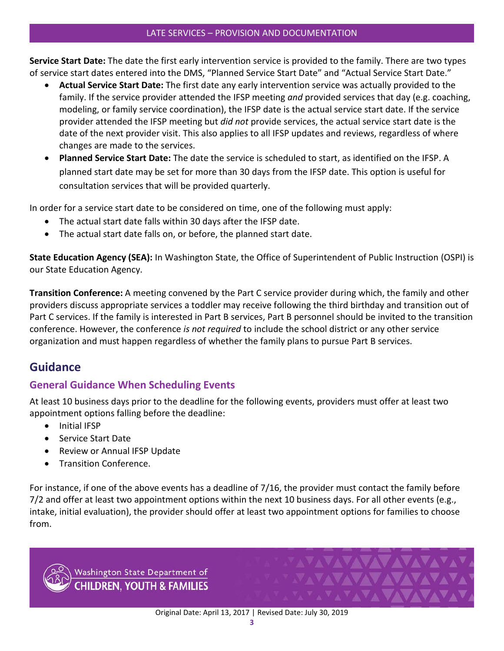**Service Start Date:** The date the first early intervention service is provided to the family. There are two types of service start dates entered into the DMS, "Planned Service Start Date" and "Actual Service Start Date."

- **Actual Service Start Date:** The first date any early intervention service was actually provided to the family. If the service provider attended the IFSP meeting *and* provided services that day (e.g. coaching, modeling, or family service coordination), the IFSP date is the actual service start date. If the service provider attended the IFSP meeting but *did not* provide services, the actual service start date is the date of the next provider visit. This also applies to all IFSP updates and reviews, regardless of where changes are made to the services.
- **Planned Service Start Date:** The date the service is scheduled to start, as identified on the IFSP. A planned start date may be set for more than 30 days from the IFSP date. This option is useful for consultation services that will be provided quarterly.

In order for a service start date to be considered on time, one of the following must apply:

- The actual start date falls within 30 days after the IFSP date.
- The actual start date falls on, or before, the planned start date.

**State Education Agency (SEA):** In Washington State, the Office of Superintendent of Public Instruction (OSPI) is our State Education Agency.

**Transition Conference:** A meeting convened by the Part C service provider during which, the family and other providers discuss appropriate services a toddler may receive following the third birthday and transition out of Part C services. If the family is interested in Part B services, Part B personnel should be invited to the transition conference. However, the conference *is not required* to include the school district or any other service organization and must happen regardless of whether the family plans to pursue Part B services.

### <span id="page-2-0"></span>**Guidance**

#### <span id="page-2-1"></span>**General Guidance When Scheduling Events**

At least 10 business days prior to the deadline for the following events, providers must offer at least two appointment options falling before the deadline:

- Initial IFSP
- Service Start Date
- Review or Annual IFSP Update
- Transition Conference.

For instance, if one of the above events has a deadline of 7/16, the provider must contact the family before 7/2 and offer at least two appointment options within the next 10 business days. For all other events (e.g., intake, initial evaluation), the provider should offer at least two appointment options for families to choose from.

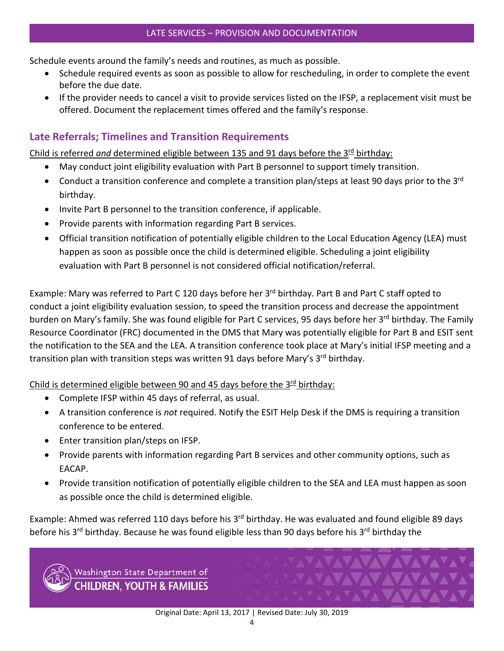Schedule events around the family's needs and routines, as much as possible.

- Schedule required events as soon as possible to allow for rescheduling, in order to complete the event before the due date.
- If the provider needs to cancel a visit to provide services listed on the IFSP, a replacement visit must be offered. Document the replacement times offered and the family's response.

#### <span id="page-3-0"></span>**Late Referrals; Timelines and Transition Requirements**

Child is referred *and* determined eligible between 135 and 91 days before the 3<sup>rd</sup> birthday:

- May conduct joint eligibility evaluation with Part B personnel to support timely transition.
- Conduct a transition conference and complete a transition plan/steps at least 90 days prior to the 3<sup>rd</sup> birthday.
- Invite Part B personnel to the transition conference, if applicable.
- Provide parents with information regarding Part B services.
- Official transition notification of potentially eligible children to the Local Education Agency (LEA) must happen as soon as possible once the child is determined eligible. Scheduling a joint eligibility evaluation with Part B personnel is not considered official notification/referral.

Example: Mary was referred to Part C 120 days before her 3<sup>rd</sup> birthday. Part B and Part C staff opted to conduct a joint eligibility evaluation session, to speed the transition process and decrease the appointment burden on Mary's family. She was found eligible for Part C services, 95 days before her 3<sup>rd</sup> birthday. The Family Resource Coordinator (FRC) documented in the DMS that Mary was potentially eligible for Part B and ESIT sent the notification to the SEA and the LEA. A transition conference took place at Mary's initial IFSP meeting and a transition plan with transition steps was written 91 days before Mary's 3rd birthday.

Child is determined eligible between 90 and 45 days before the  $3<sup>rd</sup>$  birthday:

- Complete IFSP within 45 days of referral, as usual.
- A transition conference is *not* required. Notify the ESIT Help Desk if the DMS is requiring a transition conference to be entered.
- Enter transition plan/steps on IFSP.
- Provide parents with information regarding Part B services and other community options, such as EACAP.
- Provide transition notification of potentially eligible children to the SEA and LEA must happen as soon as possible once the child is determined eligible.

Example: Ahmed was referred 110 days before his 3rd birthday. He was evaluated and found eligible 89 days before his 3<sup>rd</sup> birthday. Because he was found eligible less than 90 days before his 3<sup>rd</sup> birthday the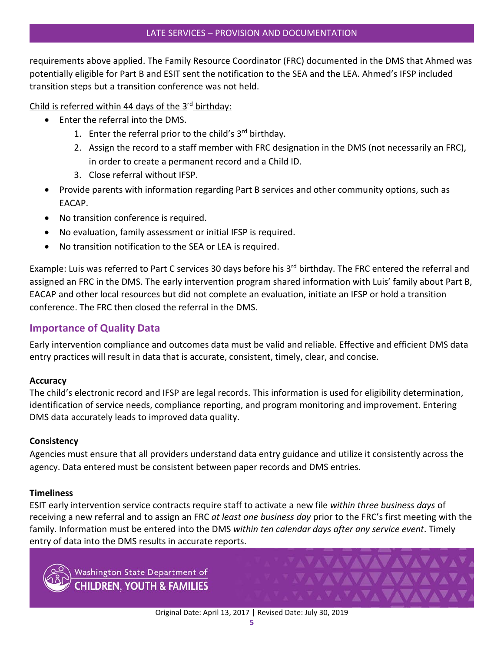requirements above applied. The Family Resource Coordinator (FRC) documented in the DMS that Ahmed was potentially eligible for Part B and ESIT sent the notification to the SEA and the LEA. Ahmed's IFSP included transition steps but a transition conference was not held.

Child is referred within 44 days of the  $3<sup>rd</sup>$  birthday:

- Enter the referral into the DMS.
	- 1. Enter the referral prior to the child's  $3<sup>rd</sup>$  birthday.
	- 2. Assign the record to a staff member with FRC designation in the DMS (not necessarily an FRC), in order to create a permanent record and a Child ID.
	- 3. Close referral without IFSP.
- Provide parents with information regarding Part B services and other community options, such as EACAP.
- No transition conference is required.
- No evaluation, family assessment or initial IFSP is required.
- No transition notification to the SEA or LEA is required.

Example: Luis was referred to Part C services 30 days before his 3<sup>rd</sup> birthday. The FRC entered the referral and assigned an FRC in the DMS. The early intervention program shared information with Luis' family about Part B, EACAP and other local resources but did not complete an evaluation, initiate an IFSP or hold a transition conference. The FRC then closed the referral in the DMS.

#### <span id="page-4-0"></span>**Importance of Quality Data**

Early intervention compliance and outcomes data must be valid and reliable. Effective and efficient DMS data entry practices will result in data that is accurate, consistent, timely, clear, and concise.

#### **Accuracy**

The child's electronic record and IFSP are legal records. This information is used for eligibility determination, identification of service needs, compliance reporting, and program monitoring and improvement. Entering DMS data accurately leads to improved data quality.

#### **Consistency**

Agencies must ensure that all providers understand data entry guidance and utilize it consistently across the agency. Data entered must be consistent between paper records and DMS entries.

#### **Timeliness**

ESIT early intervention service contracts require staff to activate a new file *within three business days* of receiving a new referral and to assign an FRC *at least one business day* prior to the FRC's first meeting with the family. Information must be entered into the DMS *within ten calendar days after any service event*. Timely entry of data into the DMS results in accurate reports.

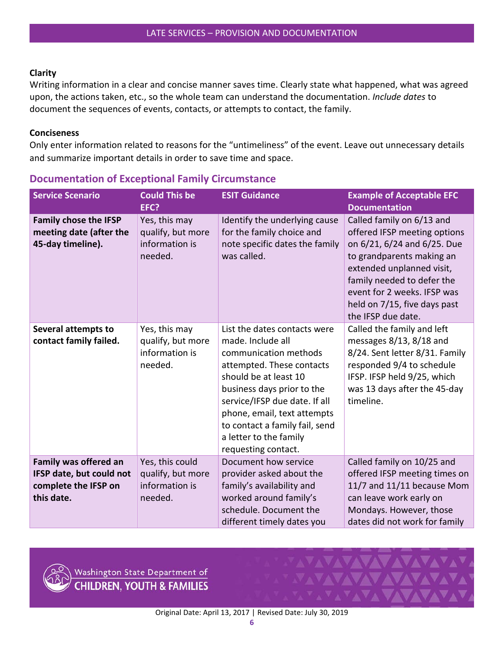#### **Clarity**

Writing information in a clear and concise manner saves time. Clearly state what happened, what was agreed upon, the actions taken, etc., so the whole team can understand the documentation. *Include dates* to document the sequences of events, contacts, or attempts to contact, the family.

#### **Conciseness**

Only enter information related to reasons for the "untimeliness" of the event. Leave out unnecessary details and summarize important details in order to save time and space.

| <b>Service Scenario</b>                                                                 | <b>Could This be</b><br>EFC?                                      | <b>ESIT Guidance</b>                                                                                                                                                                                                                                                                                              | <b>Example of Acceptable EFC</b><br><b>Documentation</b>                                                                                                                                                                                                              |
|-----------------------------------------------------------------------------------------|-------------------------------------------------------------------|-------------------------------------------------------------------------------------------------------------------------------------------------------------------------------------------------------------------------------------------------------------------------------------------------------------------|-----------------------------------------------------------------------------------------------------------------------------------------------------------------------------------------------------------------------------------------------------------------------|
| <b>Family chose the IFSP</b><br>meeting date (after the<br>45-day timeline).            | Yes, this may<br>qualify, but more<br>information is<br>needed.   | Identify the underlying cause<br>for the family choice and<br>note specific dates the family<br>was called.                                                                                                                                                                                                       | Called family on 6/13 and<br>offered IFSP meeting options<br>on 6/21, 6/24 and 6/25. Due<br>to grandparents making an<br>extended unplanned visit,<br>family needed to defer the<br>event for 2 weeks. IFSP was<br>held on 7/15, five days past<br>the IFSP due date. |
| Several attempts to<br>contact family failed.                                           | Yes, this may<br>qualify, but more<br>information is<br>needed.   | List the dates contacts were<br>made. Include all<br>communication methods<br>attempted. These contacts<br>should be at least 10<br>business days prior to the<br>service/IFSP due date. If all<br>phone, email, text attempts<br>to contact a family fail, send<br>a letter to the family<br>requesting contact. | Called the family and left<br>messages 8/13, 8/18 and<br>8/24. Sent letter 8/31. Family<br>responded 9/4 to schedule<br>IFSP. IFSP held 9/25, which<br>was 13 days after the 45-day<br>timeline.                                                                      |
| Family was offered an<br>IFSP date, but could not<br>complete the IFSP on<br>this date. | Yes, this could<br>qualify, but more<br>information is<br>needed. | Document how service<br>provider asked about the<br>family's availability and<br>worked around family's<br>schedule. Document the<br>different timely dates you                                                                                                                                                   | Called family on 10/25 and<br>offered IFSP meeting times on<br>11/7 and 11/11 because Mom<br>can leave work early on<br>Mondays. However, those<br>dates did not work for family                                                                                      |

#### <span id="page-5-0"></span>**Documentation of Exceptional Family Circumstance**



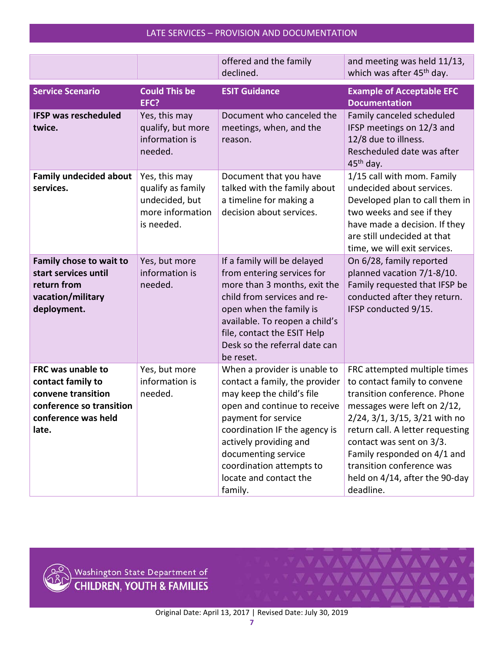|                                                                                                                                 |                                                                                        | offered and the family<br>declined.                                                                                                                                                                                                                                                                   | and meeting was held 11/13,<br>which was after 45 <sup>th</sup> day.                                                                                                                                                                                                                                                                    |  |
|---------------------------------------------------------------------------------------------------------------------------------|----------------------------------------------------------------------------------------|-------------------------------------------------------------------------------------------------------------------------------------------------------------------------------------------------------------------------------------------------------------------------------------------------------|-----------------------------------------------------------------------------------------------------------------------------------------------------------------------------------------------------------------------------------------------------------------------------------------------------------------------------------------|--|
| <b>Service Scenario</b>                                                                                                         | <b>Could This be</b><br>EFC?                                                           | <b>ESIT Guidance</b>                                                                                                                                                                                                                                                                                  | <b>Example of Acceptable EFC</b><br><b>Documentation</b>                                                                                                                                                                                                                                                                                |  |
| <b>IFSP was rescheduled</b><br>twice.                                                                                           | Yes, this may<br>qualify, but more<br>information is<br>needed.                        | Document who canceled the<br>meetings, when, and the<br>reason.                                                                                                                                                                                                                                       | Family canceled scheduled<br>IFSP meetings on 12/3 and<br>12/8 due to illness.<br>Rescheduled date was after<br>$45th$ day.                                                                                                                                                                                                             |  |
| <b>Family undecided about</b><br>services.                                                                                      | Yes, this may<br>qualify as family<br>undecided, but<br>more information<br>is needed. | Document that you have<br>talked with the family about<br>a timeline for making a<br>decision about services.                                                                                                                                                                                         | 1/15 call with mom. Family<br>undecided about services.<br>Developed plan to call them in<br>two weeks and see if they<br>have made a decision. If they<br>are still undecided at that<br>time, we will exit services.                                                                                                                  |  |
| Family chose to wait to<br>start services until<br>return from<br>vacation/military<br>deployment.                              | Yes, but more<br>information is<br>needed.                                             | If a family will be delayed<br>from entering services for<br>more than 3 months, exit the<br>child from services and re-<br>open when the family is<br>available. To reopen a child's<br>file, contact the ESIT Help<br>Desk so the referral date can<br>be reset.                                    | On 6/28, family reported<br>planned vacation 7/1-8/10.<br>Family requested that IFSP be<br>conducted after they return.<br>IFSP conducted 9/15.                                                                                                                                                                                         |  |
| <b>FRC was unable to</b><br>contact family to<br>convene transition<br>conference so transition<br>conference was held<br>late. | Yes, but more<br>information is<br>needed.                                             | When a provider is unable to<br>contact a family, the provider<br>may keep the child's file<br>open and continue to receive<br>payment for service<br>coordination IF the agency is<br>actively providing and<br>documenting service<br>coordination attempts to<br>locate and contact the<br>family. | FRC attempted multiple times<br>to contact family to convene<br>transition conference. Phone<br>messages were left on 2/12,<br>2/24, 3/1, 3/15, 3/21 with no<br>return call. A letter requesting<br>contact was sent on 3/3.<br>Family responded on 4/1 and<br>transition conference was<br>held on 4/14, after the 90-day<br>deadline. |  |

Washington State Department of<br>CHILDREN, YOUTH & FAMILIES

Original Date: April 13, 2017 | Revised Date: July 30, 2019

YAYAYAYAVAVAYAYA<br>AYAYAYAYAYAYAYAYA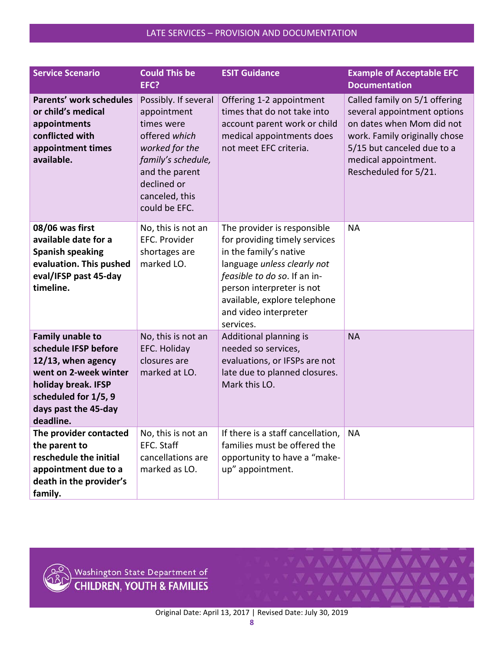| <b>Service Scenario</b>                                                                                                                                                            | <b>Could This be</b><br>EFC?                                                                                                                                                   | <b>ESIT Guidance</b>                                                                                                                                                                                                                                     | <b>Example of Acceptable EFC</b><br><b>Documentation</b>                                                                                                                                                  |
|------------------------------------------------------------------------------------------------------------------------------------------------------------------------------------|--------------------------------------------------------------------------------------------------------------------------------------------------------------------------------|----------------------------------------------------------------------------------------------------------------------------------------------------------------------------------------------------------------------------------------------------------|-----------------------------------------------------------------------------------------------------------------------------------------------------------------------------------------------------------|
| <b>Parents' work schedules</b><br>or child's medical<br>appointments<br>conflicted with<br>appointment times<br>available.                                                         | Possibly. If several<br>appointment<br>times were<br>offered which<br>worked for the<br>family's schedule,<br>and the parent<br>declined or<br>canceled, this<br>could be EFC. | Offering 1-2 appointment<br>times that do not take into<br>account parent work or child<br>medical appointments does<br>not meet EFC criteria.                                                                                                           | Called family on 5/1 offering<br>several appointment options<br>on dates when Mom did not<br>work. Family originally chose<br>5/15 but canceled due to a<br>medical appointment.<br>Rescheduled for 5/21. |
| 08/06 was first<br>available date for a<br><b>Spanish speaking</b><br>evaluation. This pushed<br>eval/IFSP past 45-day<br>timeline.                                                | No, this is not an<br>EFC. Provider<br>shortages are<br>marked LO.                                                                                                             | The provider is responsible<br>for providing timely services<br>in the family's native<br>language unless clearly not<br>feasible to do so. If an in-<br>person interpreter is not<br>available, explore telephone<br>and video interpreter<br>services. | <b>NA</b>                                                                                                                                                                                                 |
| <b>Family unable to</b><br>schedule IFSP before<br>12/13, when agency<br>went on 2-week winter<br>holiday break. IFSP<br>scheduled for 1/5, 9<br>days past the 45-day<br>deadline. | No, this is not an<br>EFC. Holiday<br>closures are<br>marked at LO.                                                                                                            | Additional planning is<br>needed so services,<br>evaluations, or IFSPs are not<br>late due to planned closures.<br>Mark this LO.                                                                                                                         | <b>NA</b>                                                                                                                                                                                                 |
| The provider contacted<br>the parent to<br>reschedule the initial<br>appointment due to a<br>death in the provider's<br>family.                                                    | No, this is not an<br>EFC. Staff<br>cancellations are<br>marked as LO.                                                                                                         | If there is a staff cancellation, $ $<br>families must be offered the<br>opportunity to have a "make-<br>up" appointment.                                                                                                                                | <b>NA</b>                                                                                                                                                                                                 |



Original Date: April 13, 2017 | Revised Date: July 30, 2019

ZAVAVAVAVAVAVAVA<br>Evavavavavavavav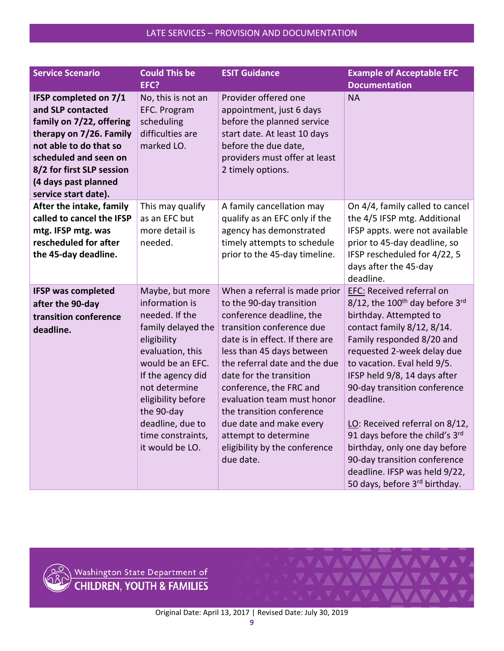| <b>Service Scenario</b>                                                                                                                                                                                                           | <b>Could This be</b>                                                                                                                                                                                                                                                   | <b>ESIT Guidance</b>                                                                                                                                                                                                                                                                                                                                                                                                                  | <b>Example of Acceptable EFC</b>                                                                                                                                                                                                                                                                                                                                                                                                                                                                                          |
|-----------------------------------------------------------------------------------------------------------------------------------------------------------------------------------------------------------------------------------|------------------------------------------------------------------------------------------------------------------------------------------------------------------------------------------------------------------------------------------------------------------------|---------------------------------------------------------------------------------------------------------------------------------------------------------------------------------------------------------------------------------------------------------------------------------------------------------------------------------------------------------------------------------------------------------------------------------------|---------------------------------------------------------------------------------------------------------------------------------------------------------------------------------------------------------------------------------------------------------------------------------------------------------------------------------------------------------------------------------------------------------------------------------------------------------------------------------------------------------------------------|
|                                                                                                                                                                                                                                   | EFC?                                                                                                                                                                                                                                                                   |                                                                                                                                                                                                                                                                                                                                                                                                                                       | <b>Documentation</b>                                                                                                                                                                                                                                                                                                                                                                                                                                                                                                      |
| IFSP completed on 7/1<br>and SLP contacted<br>family on 7/22, offering<br>therapy on 7/26. Family<br>not able to do that so<br>scheduled and seen on<br>8/2 for first SLP session<br>(4 days past planned<br>service start date). | No, this is not an<br>EFC. Program<br>scheduling<br>difficulties are<br>marked LO.                                                                                                                                                                                     | Provider offered one<br>appointment, just 6 days<br>before the planned service<br>start date. At least 10 days<br>before the due date,<br>providers must offer at least<br>2 timely options.                                                                                                                                                                                                                                          | <b>NA</b>                                                                                                                                                                                                                                                                                                                                                                                                                                                                                                                 |
| After the intake, family<br>called to cancel the IFSP<br>mtg. IFSP mtg. was<br>rescheduled for after<br>the 45-day deadline.                                                                                                      | This may qualify<br>as an EFC but<br>more detail is<br>needed.                                                                                                                                                                                                         | A family cancellation may<br>qualify as an EFC only if the<br>agency has demonstrated<br>timely attempts to schedule<br>prior to the 45-day timeline.                                                                                                                                                                                                                                                                                 | On 4/4, family called to cancel<br>the 4/5 IFSP mtg. Additional<br>IFSP appts. were not available<br>prior to 45-day deadline, so<br>IFSP rescheduled for 4/22, 5<br>days after the 45-day<br>deadline.                                                                                                                                                                                                                                                                                                                   |
| <b>IFSP was completed</b><br>after the 90-day<br>transition conference<br>deadline.                                                                                                                                               | Maybe, but more<br>information is<br>needed. If the<br>family delayed the<br>eligibility<br>evaluation, this<br>would be an EFC.<br>If the agency did<br>not determine<br>eligibility before<br>the 90-day<br>deadline, due to<br>time constraints,<br>it would be LO. | When a referral is made prior<br>to the 90-day transition<br>conference deadline, the<br>transition conference due<br>date is in effect. If there are<br>less than 45 days between<br>the referral date and the due<br>date for the transition<br>conference, the FRC and<br>evaluation team must honor<br>the transition conference<br>due date and make every<br>attempt to determine<br>eligibility by the conference<br>due date. | EFC: Received referral on<br>8/12, the 100 <sup>th</sup> day before 3rd<br>birthday. Attempted to<br>contact family 8/12, 8/14.<br>Family responded 8/20 and<br>requested 2-week delay due<br>to vacation. Eval held 9/5.<br>IFSP held 9/8, 14 days after<br>90-day transition conference<br>deadline.<br>LO: Received referral on 8/12,<br>91 days before the child's 3rd<br>birthday, only one day before<br>90-day transition conference<br>deadline. IFSP was held 9/22,<br>50 days, before 3 <sup>rd</sup> birthday. |

Washington State Department of<br>CHILDREN, YOUTH & FAMILIES

Original Date: April 13, 2017 | Revised Date: July 30, 2019

YAYAYAYAVAVAYAYA<br>AYAYAYAYAYAYAYAY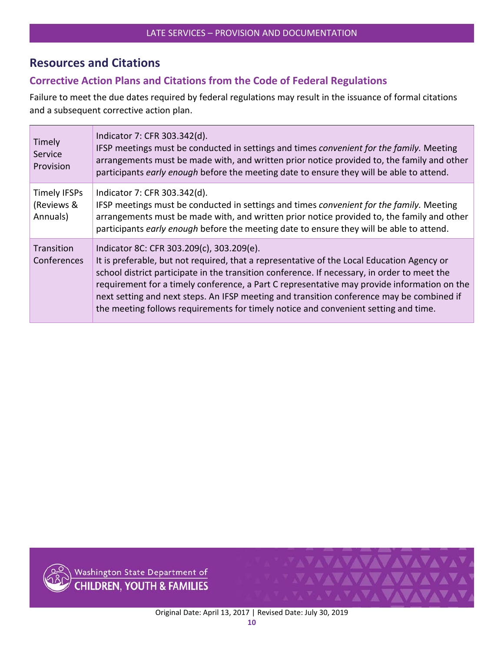### <span id="page-9-0"></span>**Resources and Citations**

#### <span id="page-9-1"></span>**Corrective Action Plans and Citations from the Code of Federal Regulations**

Failure to meet the due dates required by federal regulations may result in the issuance of formal citations and a subsequent corrective action plan.

| Timely<br>Service<br>Provision                | Indicator 7: CFR 303.342(d).<br>IFSP meetings must be conducted in settings and times <i>convenient for the family</i> . Meeting<br>arrangements must be made with, and written prior notice provided to, the family and other<br>participants early enough before the meeting date to ensure they will be able to attend.                                                                                                                                                                                                 |
|-----------------------------------------------|----------------------------------------------------------------------------------------------------------------------------------------------------------------------------------------------------------------------------------------------------------------------------------------------------------------------------------------------------------------------------------------------------------------------------------------------------------------------------------------------------------------------------|
| <b>Timely IFSPs</b><br>(Reviews &<br>Annuals) | Indicator 7: CFR 303.342(d).<br>IFSP meetings must be conducted in settings and times <i>convenient for the family</i> . Meeting<br>arrangements must be made with, and written prior notice provided to, the family and other<br>participants early enough before the meeting date to ensure they will be able to attend.                                                                                                                                                                                                 |
| Transition<br>Conferences                     | Indicator 8C: CFR 303.209(c), 303.209(e).<br>It is preferable, but not required, that a representative of the Local Education Agency or<br>school district participate in the transition conference. If necessary, in order to meet the<br>requirement for a timely conference, a Part C representative may provide information on the<br>next setting and next steps. An IFSP meeting and transition conference may be combined if<br>the meeting follows requirements for timely notice and convenient setting and time. |



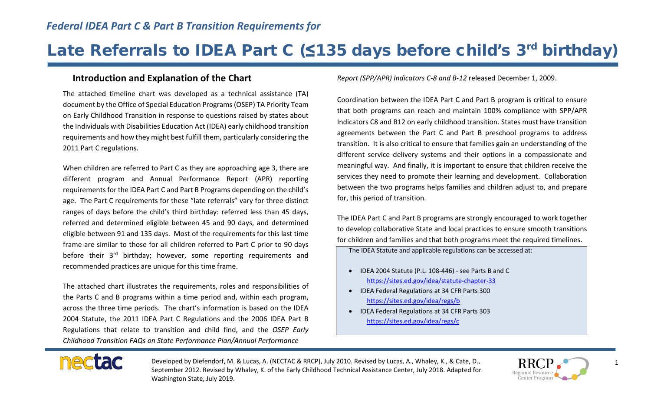# Late Referrals to IDEA Part C ( $\leq$ 135 days before child's 3<sup>rd</sup> birthday)

#### **Introduction and Explanation of the Chart**

The attached timeline chart was developed as a technical assistance (TA) document by the Office of Special Education Programs(OSEP) TA Priority Team on Early Childhood Transition in response to questions raised by states about the Individuals with Disabilities Education Act (IDEA) early childhood transition requirements and how they might best fulfill them, particularly considering the 2011 Part C regulations.

When children are referred to Part C as they are approaching age 3, there are different program and Annual Performance Report (APR) reporting requirements for the IDEA Part C and Part B Programs depending on the child's age. The Part C requirements for these "late referrals" vary for three distinct ranges of days before the child's third birthday: referred less than 45 days, referred and determined eligible between 45 and 90 days, and determined eligible between 91 and 135 days. Most of the requirements for this last time frame are similar to those for all children referred to Part C prior to 90 days before their 3<sup>rd</sup> birthday; however, some reporting requirements and recommended practices are unique for this time frame.

The attached chart illustrates the requirements, roles and responsibilities of the Parts C and B programs within a time period and, within each program, across the three time periods. The chart's information is based on the IDEA 2004 Statute, the 2011 IDEA Part C Regulations and the 2006 IDEA Part B Regulations that relate to transition and child find, and the *OSEP Early Childhood Transition FAQs on State Performance Plan/Annual Performance* 

*Report (SPP/APR) Indicators C-8 and B-12* released December 1, 2009.

Coordination between the IDEA Part C and Part B program is critical to ensure that both programs can reach and maintain 100% compliance with SPP/APR Indicators C8 and B12 on early childhood transition. States must have transition agreements between the Part C and Part B preschool programs to address transition. It is also critical to ensure that families gain an understanding of the different service delivery systems and their options in a compassionate and meaningful way. And finally, it is important to ensure that children receive the services they need to promote their learning and development. Collaboration between the two programs helps families and children adjust to, and prepare for, this period of transition.

The IDEA Part C and Part B programs are strongly encouraged to work together to develop collaborative State and local practices to ensure smooth transitions for children and families and that both programs meet the required timelines.

The IDEA Statute and applicable regulations can be accessed at:

- IDEA 2004 Statute (P.L. 108-446) see Parts B and C <https://sites.ed.gov/idea/statute-chapter-33>
- IDEA Federal Regulations at 34 CFR Parts 300 <https://sites.ed.gov/idea/regs/b>
- IDEA Federal Regulations at 34 CFR Parts 303 <https://sites.ed.gov/idea/regs/c>



Developed by Diefendorf, M. & Lucas, A. (NECTAC & RRCP), July 2010. Revised by Lucas, A., Whaley, K., & Cate, D., September 2012. Revised by Whaley, K. of the Early Childhood Technical Assistance Center, July 2018. Adapted for Washington State, July 2019.



1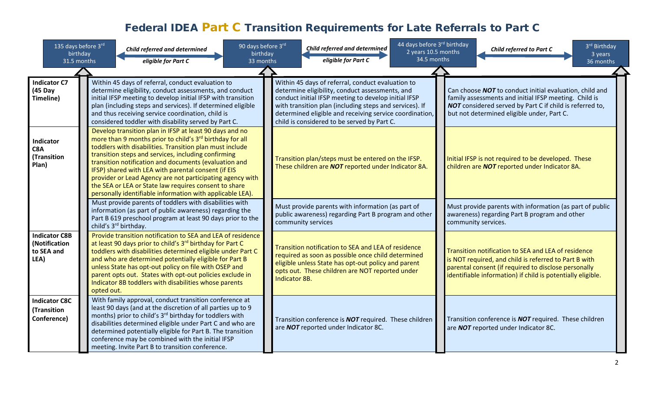## Federal IDEA Part C Transition Requirements for Late Referrals to Part C

|                                                             | 135 days before 3rd<br>birthday<br>31.5 months | Child referred and determined<br>eligible for Part C                                                                                                                                                                                                                                                                                                                                                                                                                                                                                      | 90 days before 3rd<br>birthday<br>33 months |                      | <b>Child referred and determined</b><br>eligible for Part C                                                                                                                                                                                                                                                                       | 44 days before 3rd birthday<br>2 years 10.5 months<br>34.5 months |                     | Child referred to Part C                                                                                                                                                                                                            | 3rd Birthday<br>3 years<br>36 months |
|-------------------------------------------------------------|------------------------------------------------|-------------------------------------------------------------------------------------------------------------------------------------------------------------------------------------------------------------------------------------------------------------------------------------------------------------------------------------------------------------------------------------------------------------------------------------------------------------------------------------------------------------------------------------------|---------------------------------------------|----------------------|-----------------------------------------------------------------------------------------------------------------------------------------------------------------------------------------------------------------------------------------------------------------------------------------------------------------------------------|-------------------------------------------------------------------|---------------------|-------------------------------------------------------------------------------------------------------------------------------------------------------------------------------------------------------------------------------------|--------------------------------------|
| <b>Indicator C7</b><br>(45 Day<br>Timeline)                 |                                                | Within 45 days of referral, conduct evaluation to<br>determine eligibility, conduct assessments, and conduct<br>initial IFSP meeting to develop initial IFSP with transition<br>plan (including steps and services). If determined eligible<br>and thus receiving service coordination, child is<br>considered toddler with disability served by Part C.                                                                                                                                                                                  |                                             |                      | Within 45 days of referral, conduct evaluation to<br>determine eligibility, conduct assessments, and<br>conduct initial IFSP meeting to develop initial IFSP<br>with transition plan (including steps and services). If<br>determined eligible and receiving service coordination,<br>child is considered to be served by Part C. |                                                                   |                     | Can choose NOT to conduct initial evaluation, child and<br>family assessments and initial IFSP meeting. Child is<br><b>NOT</b> considered served by Part C if child is referred to,<br>but not determined eligible under, Part C.   |                                      |
| Indicator<br>C8A<br>(Transition<br>Plan)                    |                                                | Develop transition plan in IFSP at least 90 days and no<br>more than 9 months prior to child's 3rd birthday for all<br>toddlers with disabilities. Transition plan must include<br>transition steps and services, including confirming<br>transition notification and documents (evaluation and<br>IFSP) shared with LEA with parental consent (if EIS<br>provider or Lead Agency are not participating agency with<br>the SEA or LEA or State law requires consent to share<br>personally identifiable information with applicable LEA). |                                             |                      | Transition plan/steps must be entered on the IFSP.<br>These children are NOT reported under Indicator 8A.                                                                                                                                                                                                                         |                                                                   |                     | Initial IFSP is not required to be developed. These<br>children are <b>NOT</b> reported under Indicator 8A.                                                                                                                         |                                      |
|                                                             |                                                | Must provide parents of toddlers with disabilities with<br>information (as part of public awareness) regarding the<br>Part B 619 preschool program at least 90 days prior to the<br>child's 3 <sup>rd</sup> birthday.                                                                                                                                                                                                                                                                                                                     |                                             |                      | Must provide parents with information (as part of<br>public awareness) regarding Part B program and other<br>community services                                                                                                                                                                                                   |                                                                   | community services. | Must provide parents with information (as part of public<br>awareness) regarding Part B program and other                                                                                                                           |                                      |
| <b>Indicator C8B</b><br>(Notification<br>to SEA and<br>LEA) | opted out.                                     | Provide transition notification to SEA and LEA of residence<br>at least 90 days prior to child's 3 <sup>rd</sup> birthday for Part C<br>toddlers with disabilities determined eligible under Part C<br>and who are determined potentially eligible for Part B<br>unless State has opt-out policy on file with OSEP and<br>parent opts out. States with opt-out policies exclude in<br>Indicator 8B toddlers with disabilities whose parents                                                                                               |                                             | <b>Indicator 8B.</b> | Transition notification to SEA and LEA of residence<br>required as soon as possible once child determined<br>eligible unless State has opt-out policy and parent<br>opts out. These children are NOT reported under                                                                                                               |                                                                   |                     | Transition notification to SEA and LEA of residence<br>is NOT required, and child is referred to Part B with<br>parental consent (if required to disclose personally<br>identifiable information) if child is potentially eligible. |                                      |
| <b>Indicator C8C</b><br>(Transition<br>Conference)          |                                                | With family approval, conduct transition conference at<br>least 90 days (and at the discretion of all parties up to 9<br>months) prior to child's 3 <sup>rd</sup> birthday for toddlers with<br>disabilities determined eligible under Part C and who are<br>determined potentially eligible for Part B. The transition<br>conference may be combined with the initial IFSP<br>meeting. Invite Part B to transition conference.                                                                                                           |                                             |                      | Transition conference is <b>NOT</b> required. These children<br>are NOT reported under Indicator 8C.                                                                                                                                                                                                                              |                                                                   |                     | Transition conference is <b>NOT</b> required. These children<br>are NOT reported under Indicator 8C.                                                                                                                                |                                      |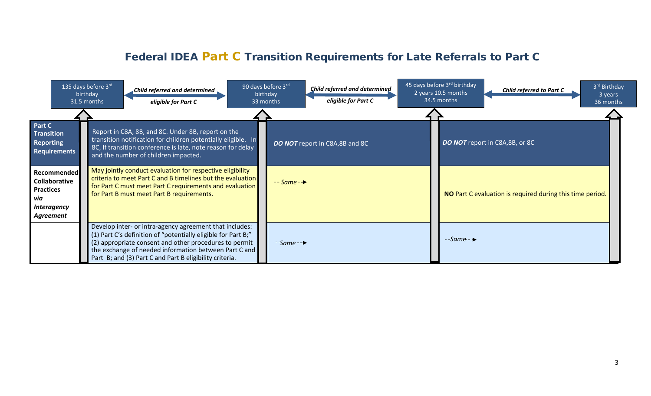## Federal IDEA Part C Transition Requirements for Late Referrals to Part C

|                                                                                                                                                                      | 135 days before 3rd<br><b>Child referred and determined</b><br>birthday<br>eligible for Part C<br>31.5 months                                                                                                                                                                                                                                                                                                                                                 | 90 days before 3rd<br>birthday<br>33 months | <b>Child referred and determined</b><br>eligible for Part C | 45 days before 3rd birthday<br>3rd Birthday<br><b>Child referred to Part C</b><br>2 years 10.5 months<br>3 years<br>34.5 months<br>36 months |  |
|----------------------------------------------------------------------------------------------------------------------------------------------------------------------|---------------------------------------------------------------------------------------------------------------------------------------------------------------------------------------------------------------------------------------------------------------------------------------------------------------------------------------------------------------------------------------------------------------------------------------------------------------|---------------------------------------------|-------------------------------------------------------------|----------------------------------------------------------------------------------------------------------------------------------------------|--|
| Part C<br><b>Transition</b><br><b>Reporting</b><br><b>Requirements</b><br>Recommended<br>Collaborative<br><b>Practices</b><br>via<br><b>Interagency</b><br>Agreement | Report in C8A, 8B, and 8C. Under 8B, report on the<br>transition notification for children potentially eligible. In<br>8C, If transition conference is late, note reason for delay<br>and the number of children impacted.<br>May jointly conduct evaluation for respective eligibility<br>criteria to meet Part C and B timelines but the evaluation<br>for Part C must meet Part C requirements and evaluation<br>for Part B must meet Part B requirements. | -- Same - <b>→</b>                          | DO NOT report in C8A,8B and 8C                              | DO NOT report in C8A,8B, or 8C<br>NO Part C evaluation is required during this time period.                                                  |  |
|                                                                                                                                                                      | Develop inter- or intra-agency agreement that includes:<br>(1) Part C's definition of "potentially eligible for Part B;"<br>(2) appropriate consent and other procedures to permit<br>the exchange of needed information between Part C and<br>Part B; and (3) Part C and Part B eligibility criteria.                                                                                                                                                        | $-$ Same $-$                                |                                                             | $-Same -$                                                                                                                                    |  |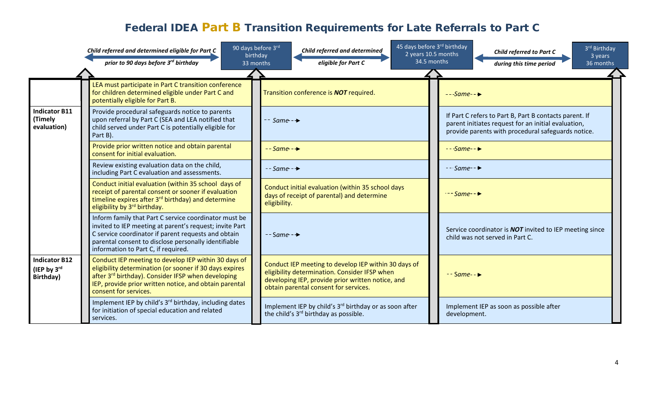## Federal IDEA Part B Transition Requirements for Late Referrals to Part C

|                                                  | Child referred and determined eligible for Part C<br>prior to 90 days before 3rd birthday                                                                                                                                                                              | 90 days before 3rd<br>Child referred and determined<br>birthday<br>eligible for Part C<br>33 months                                                                                                 | 45 days before 3rd birthday<br>3rd Birthday<br>Child referred to Part C<br>2 years 10.5 months<br>3 years<br>34.5 months<br>36 months<br>during this time period    |
|--------------------------------------------------|------------------------------------------------------------------------------------------------------------------------------------------------------------------------------------------------------------------------------------------------------------------------|-----------------------------------------------------------------------------------------------------------------------------------------------------------------------------------------------------|---------------------------------------------------------------------------------------------------------------------------------------------------------------------|
|                                                  | LEA must participate in Part C transition conference<br>for children determined eligible under Part C and<br>potentially eligible for Part B.                                                                                                                          | Transition conference is <b>NOT</b> required.                                                                                                                                                       | $--Same-+$                                                                                                                                                          |
| <b>Indicator B11</b><br>(Timely<br>evaluation)   | Provide procedural safeguards notice to parents<br>upon referral by Part C (SEA and LEA notified that<br>child served under Part C is potentially eligible for<br>Part B).                                                                                             | <sup>--</sup> Same - <del>&gt;</del>                                                                                                                                                                | If Part C refers to Part B, Part B contacts parent. If<br>parent initiates request for an initial evaluation,<br>provide parents with procedural safeguards notice. |
|                                                  | Provide prior written notice and obtain parental<br>consent for initial evaluation.                                                                                                                                                                                    | $--\mathsf{Same}\rightarrow\blacktriangleright$                                                                                                                                                     | $--Same-+$                                                                                                                                                          |
|                                                  | Review existing evaluation data on the child,<br>including Part C evaluation and assessments.                                                                                                                                                                          | $-$ Same $ \rightarrow$                                                                                                                                                                             | $--\mathsf{Same}\rightarrow\blacktriangleright$                                                                                                                     |
|                                                  | Conduct initial evaluation (within 35 school days of<br>receipt of parental consent or sooner if evaluation<br>timeline expires after 3 <sup>rd</sup> birthday) and determine<br>eligibility by 3 <sup>rd</sup> birthday.                                              | Conduct initial evaluation (within 35 school days<br>days of receipt of parental) and determine<br>eligibility.                                                                                     | <sup>.--</sup> Same-- <b>→</b>                                                                                                                                      |
|                                                  | Inform family that Part C service coordinator must be<br>invited to IEP meeting at parent's request; invite Part<br>C service coordinator if parent requests and obtain<br>parental consent to disclose personally identifiable<br>information to Part C, if required. | $-$ Same $ \rightarrow$                                                                                                                                                                             | Service coordinator is <b>NOT</b> invited to IEP meeting since<br>child was not served in Part C.                                                                   |
| <b>Indicator B12</b><br>(IEP by 3rd<br>Birthday) | Conduct IEP meeting to develop IEP within 30 days of<br>eligibility determination (or sooner if 30 days expires<br>after 3rd birthday). Consider IFSP when developing<br>IEP, provide prior written notice, and obtain parental<br>consent for services.               | Conduct IEP meeting to develop IEP within 30 days of<br>eligibility determination. Consider IFSP when<br>developing IEP, provide prior written notice, and<br>obtain parental consent for services. | $-$ Same-- $\rightarrow$                                                                                                                                            |
|                                                  | Implement IEP by child's 3 <sup>rd</sup> birthday, including dates<br>for initiation of special education and related<br>services.                                                                                                                                     | Implement IEP by child's 3 <sup>rd</sup> birthday or as soon after<br>the child's 3 <sup>rd</sup> birthday as possible.                                                                             | Implement IEP as soon as possible after<br>development.                                                                                                             |